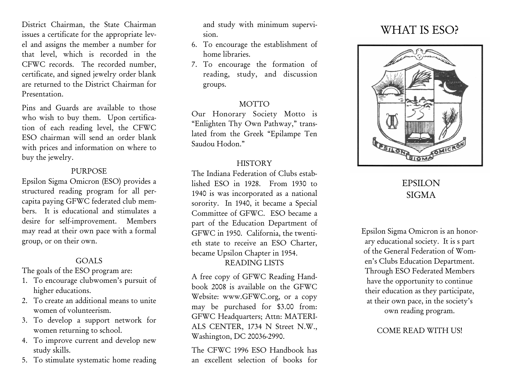District Chairman, the State Chairman issues a certificate for the appropriate level and assigns the member a number for that level, which is recorded in the CFWC records. The recorded number, certificate, and signed jewelry order blank are returned to the District Chairman for Presentation.

Pins and Guards are available to those who wish to buy them. Upon certification of each reading level, the CFWC ESO chairman will send an order blank with prices and information on where to buy the jewelry.

#### PURPOSE

Epsilon Sigma Omicron (ESO) provides a structured reading program for all percapita paying GFWC federated club members. It is educational and stimulates a desire for self-improvement. Members may read at their own pace with a formal group, or on their own.

#### **GOALS**

The goals of the ESO program are:

- 1. To encourage clubwomen's pursuit of higher educations.
- 2. To create an additional means to unite women of volunteerism.
- 3. To develop a support network for women returning to school.
- 4. To improve current and develop new study skills.
- 5. To stimulate systematic home reading

and study with minimum supervision.

- 6. To encourage the establishment of home libraries.
- 7. To encourage the formation of reading, study, and discussion groups.

#### **MOTTO**

Our Honorary Society Motto is "Enlighten Thy Own Pathway," translated from the Greek "Epilampe Ten Saudou Hodon."

#### **HISTORY**

The Indiana Federation of Clubs established ESO in 1928. From 1930 to 1940 is was incorporated as a national sorority. In 1940, it became a Special Committee of GFWC. ESO became a part of the Education Department of GFWC in 1950. California, the twentieth state to receive an ESO Charter, became Upsilon Chapter in 1954. READING LISTS

A free copy of GFWC Reading Handbook 2008 is available on the GFWC Website: www.GFWC.org, or a copy may be purchased for \$3.00 from: GFWC Headquarters; Attn: MATERI-ALS CENTER, 1734 N Street N.W., Washington, DC 20036-2990.

The CFWC 1996 ESO Handbook has an excellent selection of books for

# WHAT IS ESO?



## EPSILON SIGMA

Epsilon Sigma Omicron is an honorary educational society. It is s part of the General Federation of Women's Clubs Education Department. Through ESO Federated Members have the opportunity to continue their education as they participate, at their own pace, in the society's own reading program.

### COME READ WITH US!